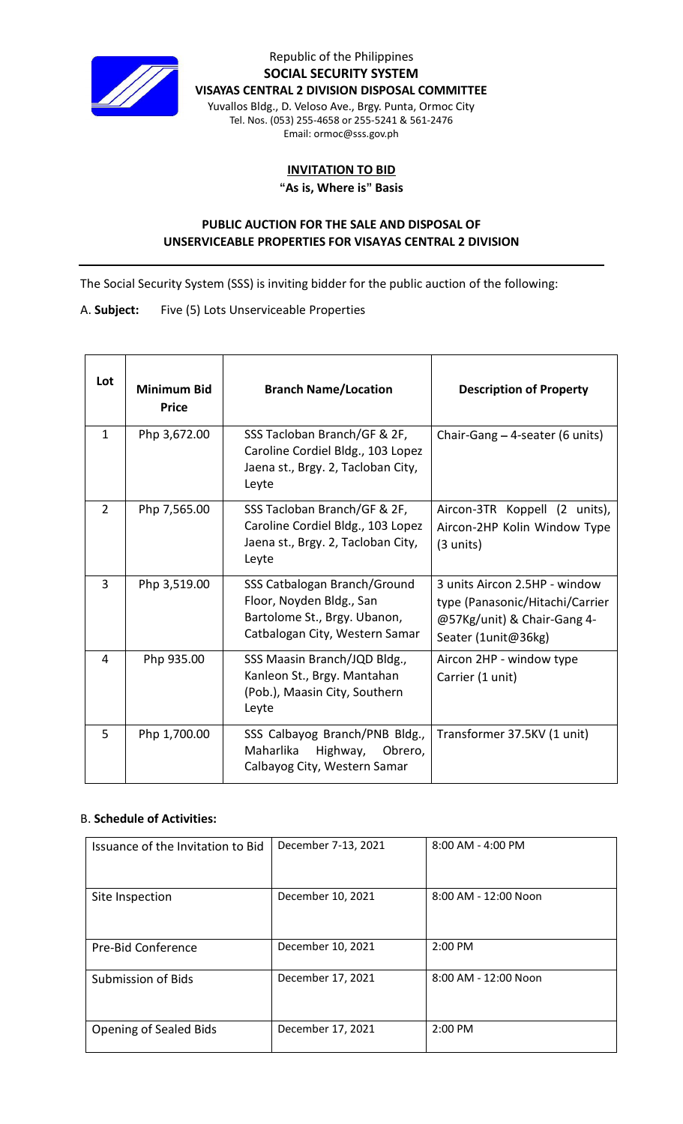

Republic of the Philippines **SOCIAL SECURITY SYSTEM VISAYAS CENTRAL 2 DIVISION DISPOSAL COMMITTEE** Yuvallos Bldg., D. Veloso Ave., Brgy. Punta, Ormoc City

Tel. Nos. (053) 255-4658 or 255-5241 & 561-2476 Email: ormoc@sss.gov.ph

## **INVITATION TO BID**

**"As is, Where is" Basis**

## **PUBLIC AUCTION FOR THE SALE AND DISPOSAL OF UNSERVICEABLE PROPERTIES FOR VISAYAS CENTRAL 2 DIVISION**

The Social Security System (SSS) is inviting bidder for the public auction of the following:

A. **Subject:** Five (5) Lots Unserviceable Properties

| Lot            | <b>Minimum Bid</b><br><b>Price</b> | <b>Branch Name/Location</b>                                                                                                | <b>Description of Property</b>                                                                                         |
|----------------|------------------------------------|----------------------------------------------------------------------------------------------------------------------------|------------------------------------------------------------------------------------------------------------------------|
| $\mathbf{1}$   | Php 3,672.00                       | SSS Tacloban Branch/GF & 2F,<br>Caroline Cordiel Bldg., 103 Lopez<br>Jaena st., Brgy. 2, Tacloban City,<br>Leyte           | Chair-Gang - 4-seater (6 units)                                                                                        |
| $\overline{2}$ | Php 7,565.00                       | SSS Tacloban Branch/GF & 2F,<br>Caroline Cordiel Bldg., 103 Lopez<br>Jaena st., Brgy. 2, Tacloban City,<br>Leyte           | Aircon-3TR Koppell (2 units),<br>Aircon-2HP Kolin Window Type<br>(3 units)                                             |
| 3              | Php 3,519.00                       | SSS Catbalogan Branch/Ground<br>Floor, Noyden Bldg., San<br>Bartolome St., Brgy. Ubanon,<br>Catbalogan City, Western Samar | 3 units Aircon 2.5HP - window<br>type (Panasonic/Hitachi/Carrier<br>@57Kg/unit) & Chair-Gang 4-<br>Seater (1unit@36kg) |
| 4              | Php 935.00                         | SSS Maasin Branch/JQD Bldg.,<br>Kanleon St., Brgy. Mantahan<br>(Pob.), Maasin City, Southern<br>Leyte                      | Aircon 2HP - window type<br>Carrier (1 unit)                                                                           |
| 5              | Php 1,700.00                       | SSS Calbayog Branch/PNB Bldg.,<br>Maharlika<br>Highway,<br>Obrero,<br>Calbayog City, Western Samar                         | Transformer 37.5KV (1 unit)                                                                                            |

## B. **Schedule of Activities:**

| Issuance of the Invitation to Bid | December 7-13, 2021 | 8:00 AM - 4:00 PM    |
|-----------------------------------|---------------------|----------------------|
|                                   |                     |                      |
| Site Inspection                   | December 10, 2021   | 8:00 AM - 12:00 Noon |
| Pre-Bid Conference                | December 10, 2021   | $2:00$ PM            |
| <b>Submission of Bids</b>         | December 17, 2021   | 8:00 AM - 12:00 Noon |
| Opening of Sealed Bids            | December 17, 2021   | $2:00$ PM            |